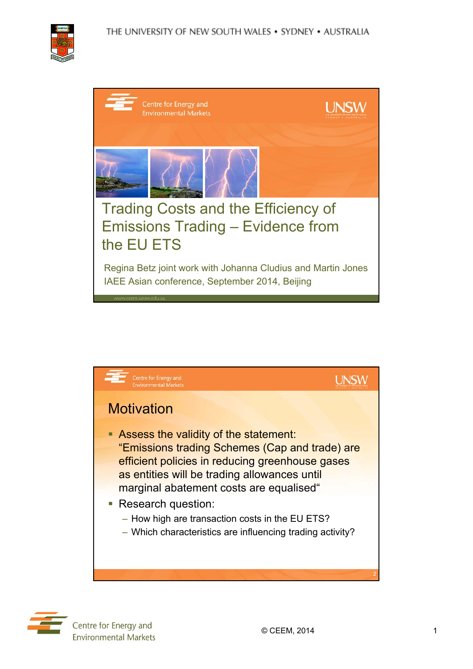

| Centre for Energy and<br><b>Environmental Markets</b>                                                                                  |  |
|----------------------------------------------------------------------------------------------------------------------------------------|--|
|                                                                                                                                        |  |
| Trading Costs and the Efficiency of<br><b>Emissions Trading - Evidence from</b><br>the EU ETS                                          |  |
| Regina Betz joint work with Johanna Cludius and Martin Jones<br>IAEE Asian conference, September 2014, Beijing<br>www.ceem.unsw.edu.au |  |



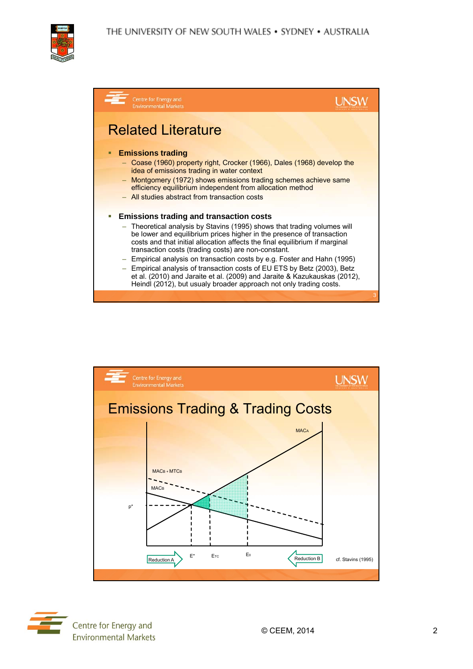





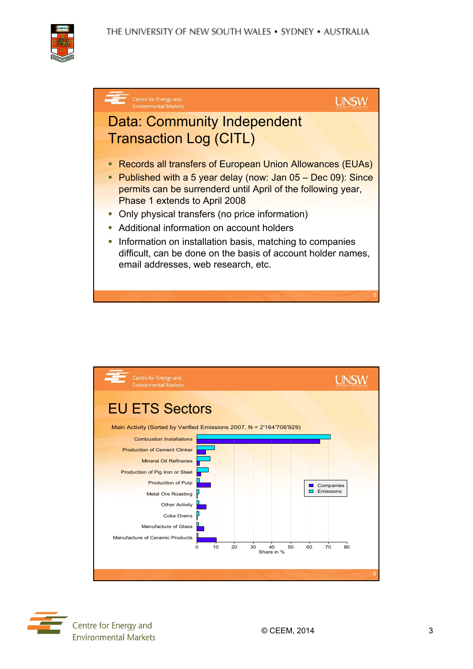THE UNIVERSITY OF NEW SOUTH WALES . SYDNEY . AUSTRALIA







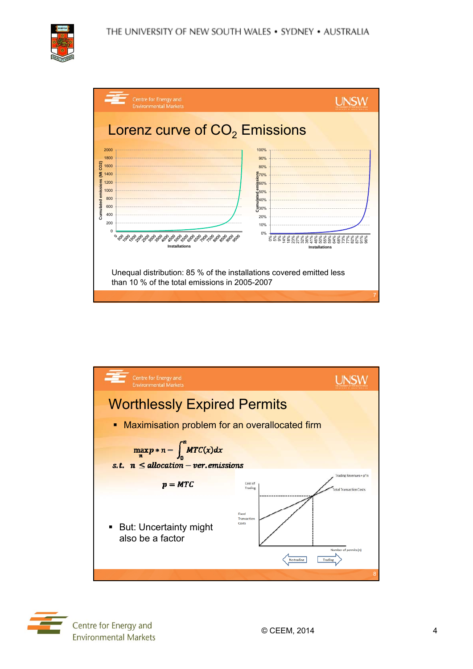



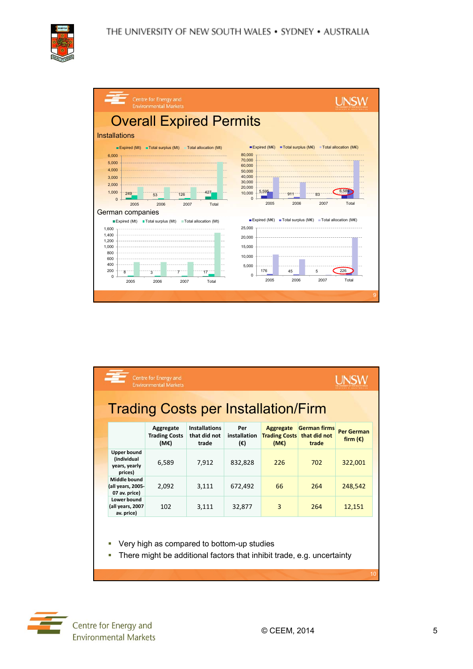



|                                                                             | Centre for Energy and<br><b>Environmental Markets</b>                                                                |                                               |                            |                                                  |                                              |                                        |
|-----------------------------------------------------------------------------|----------------------------------------------------------------------------------------------------------------------|-----------------------------------------------|----------------------------|--------------------------------------------------|----------------------------------------------|----------------------------------------|
|                                                                             | <b>Trading Costs per Installation/Firm</b>                                                                           |                                               |                            |                                                  |                                              |                                        |
|                                                                             | Aggregate<br><b>Trading Costs</b><br>(ME)                                                                            | <b>Installations</b><br>that did not<br>trade | Per<br>installation<br>(E) | <b>Aggregate</b><br><b>Trading Costs</b><br>(ME) | <b>German firms</b><br>that did not<br>trade | <b>Per German</b><br>firm $(\epsilon)$ |
| <b>Upper bound</b><br><i><b>(individual</b></i><br>years, yearly<br>prices) | 6,589                                                                                                                | 7,912                                         | 832,828                    | 226                                              | 702                                          | 322,001                                |
| Middle bound<br>(all years, 2005-<br>07 av. price)                          | 2,092                                                                                                                | 3,111                                         | 672,492                    | 66                                               | 264                                          | 248.542                                |
| Lower bound<br>(all years, 2007<br>av. price)                               | 102                                                                                                                  | 3,111                                         | 32,877                     | 3                                                | 264                                          | 12,151                                 |
| п                                                                           | Very high as compared to bottom-up studies<br>There might be additional factors that inhibit trade, e.g. uncertainty |                                               |                            |                                                  |                                              |                                        |

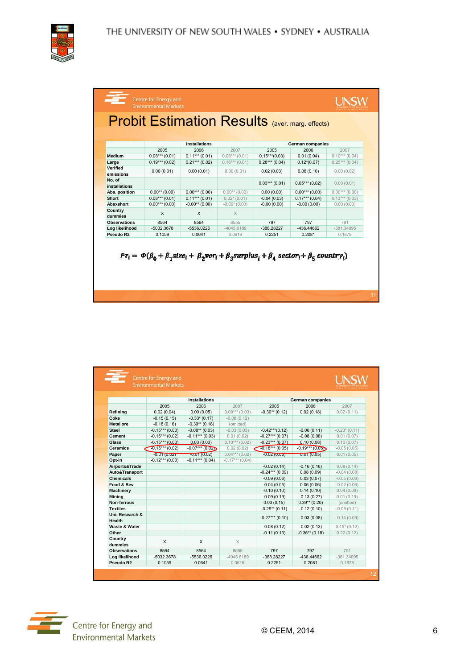

|                         | <b>Installations</b> |                  |                 | <b>German companies</b> |                 |                 |  |
|-------------------------|----------------------|------------------|-----------------|-------------------------|-----------------|-----------------|--|
|                         | 2005                 | 2006             | 2007            | 2005                    | 2006            | 2007            |  |
| Medium                  | $0.08***(0.01)$      | $0.11***(0.01)$  | $0.08***(0.01)$ | $0.15***(0.03)$         | 0.01(0.04)      | $0.10***(0.04)$ |  |
| Large                   | $0.19***(0.02)$      | $0.21***(0.02)$  | $0.16***(0.01)$ | $0.28***(0.04)$         | $0.12*(0.07)$   | $0.25***(0.04)$ |  |
| Verified<br>emissions   | 0.00(0.01)           | 0.00(0.01)       | 0.00(0.01)      | 0.02(0.03)              | 0.08(0.10)      | 0.00(0.02)      |  |
| No. of<br>installations |                      |                  |                 | $0.03***(0.01)$         | $0.05***(0.02)$ | 0.00(0.01)      |  |
| Abs. position           | $0.00**$ (0.00)      | $0.00***(0.00)$  | $0.00**$ (0.00) | 0.00(0.00)              | $0.00***(0.00)$ | $0.00***(0.00)$ |  |
| Short                   | $0.08***(0.01)$      | $0.11***(0.01)$  | $0.02*(0.01)$   | $-0.04(0.03)$           | $0.17***(0.04)$ | $0.13***(0.03)$ |  |
| Absxshort               | $0.00***(0.00)$      | $-0.00**$ (0.00) | $-0.00*(0.00)$  | $-0.00(0.00)$           | $-0.00(0.00)$   | 0.00(0.00)      |  |
| Country<br>dummies      | $\mathsf{x}$         | X                | $\times$        |                         |                 |                 |  |
| <b>Observations</b>     | 8564                 | 8564             | 8555            | 797                     | 797             | 791             |  |
| Log likelihood          | $-5032.3678$         | $-5536.0226$     | $-4045.6189$    | $-388.28227$            | -436.44662      | $-381.34095$    |  |
| Pseudo R2               | 0.1059               | 0.0641           | 0.0616          | 0.2251                  | 0.2081          | 0.1878          |  |

|                           | Centre for Energy and<br><b>Environmental Markets</b> |                    |                   |                  |                   |                |  |
|---------------------------|-------------------------------------------------------|--------------------|-------------------|------------------|-------------------|----------------|--|
|                           |                                                       |                    |                   |                  |                   |                |  |
|                           | <b>Installations</b>                                  |                    |                   | German companies |                   |                |  |
|                           | 2005                                                  | 2006               | 2007              | 2005             | 2006              | 2007           |  |
| Refining                  | 0.02(0.04)                                            | 0.00(0.05)         | $0.09***$ (0.03)  | $-0.30**$ (0.12) | 0.02(0.18)        | 0.02(0.11)     |  |
| Coke                      | $-0.15(0.15)$                                         | $-0.33*(0.17)$     | $-0.08(0.12)$     |                  |                   |                |  |
| <b>Metal</b> ore          | $-0.18(0.16)$                                         | $-0.39**$ (0.18)   | (omitted)         |                  |                   |                |  |
| <b>Steel</b>              | $-0.15***(0.03)$                                      | $-0.08**$ (0.03)   | $-0.03(0.03)$     | $-0.42***(0.12)$ | $-0.06(0.11)$     | $-0.23*(0.11)$ |  |
| Cement                    | $-0.15***(0.02)$                                      | $-0.11***(0.03)$   | 0.01(0.02)        | $-0.27***(0.07)$ | $-0.08(0.08)$     | 0.01(0.07)     |  |
| Glass                     | $-0.15***(0.03)$                                      | 0.03(0.03)         | $0.10***$ (0.02)  | $-0.23***(0.07)$ | 0.10(0.08)        | 0.10(0.07)     |  |
| <b>Ceramics</b>           | $-0.15***(0.02)$                                      | $-0.07***$ (0.02D) | 0.02(0.02)        | $-0.18***(0.05)$ | $-0.19***$ (0.05) | $-0.05(0.05)$  |  |
| Paper                     | $-0.01(0.02)$                                         | $-0.01(0.02)$      | $0.04***(0.02)$   | $-0.02(0.05)$    | 0.01(0.05)        | 0.01(0.05)     |  |
| Opt-in                    | $-0.12***(0.03)$                                      | $-0.11***$ (0.04)  | $-0.17***$ (0.04) |                  |                   |                |  |
| Airports&Trade            |                                                       |                    |                   | $-0.02(0.14)$    | $-0.16(0.16)$     | 0.08(0.14)     |  |
| Auto&Transport            |                                                       |                    |                   | $-0.24***(0.09)$ | 0.08(0.09)        | $-0.04(0.08)$  |  |
| <b>Chemicals</b>          |                                                       |                    |                   | $-0.09(0.06)$    | 0.03(0.07)        | $-0.05(0.06)$  |  |
| Food & Bev                |                                                       |                    |                   | $-0.04(0.05)$    | 0.06(0.06)        | $-0.02(0.06)$  |  |
| <b>Machinery</b>          |                                                       |                    |                   | $-0.10(0.10)$    | 0.14(0.10)        | 0.04(0.09)     |  |
| <b>Mining</b>             |                                                       |                    |                   | $-0.09(0.19)$    | $-0.13(0.27)$     | 0.01(0.19)     |  |
| Non-ferrous               |                                                       |                    |                   | 0.03(0.15)       | $0.39**$ (0.20)   | (omitted)      |  |
| <b>Textiles</b>           |                                                       |                    |                   | $-0.25**$ (0.11) | $-0.12(0.10)$     | $-0.08(0.11)$  |  |
| Uni, Research &<br>Health |                                                       |                    |                   | $-0.27***(0.10)$ | $-0.03(0.08)$     | $-0.14(0.09)$  |  |
| Waste & Water             |                                                       |                    |                   | $-0.08(0.12)$    | $-0.02(0.13)$     | $0.15*(0.12)$  |  |
| Other                     |                                                       |                    |                   | $-0.11(0.13)$    | $-0.36**$ (0.18)  | 0.22(0.12)     |  |
| Country<br>dummies        | X                                                     | X                  | X                 |                  |                   |                |  |
| <b>Observations</b>       | 8564                                                  | 8564               | 8555              | 797              | 797               | 791            |  |
| Log likelihood            | $-5032.3678$                                          | $-5536.0226$       | $-4045.6189$      | $-388.28227$     | -436.44662        | $-381.34095$   |  |
| Pseudo R2                 | 0.1059                                                | 0.0641             | 0.0616            | 0.2251           | 0.2081            | 0.1878         |  |